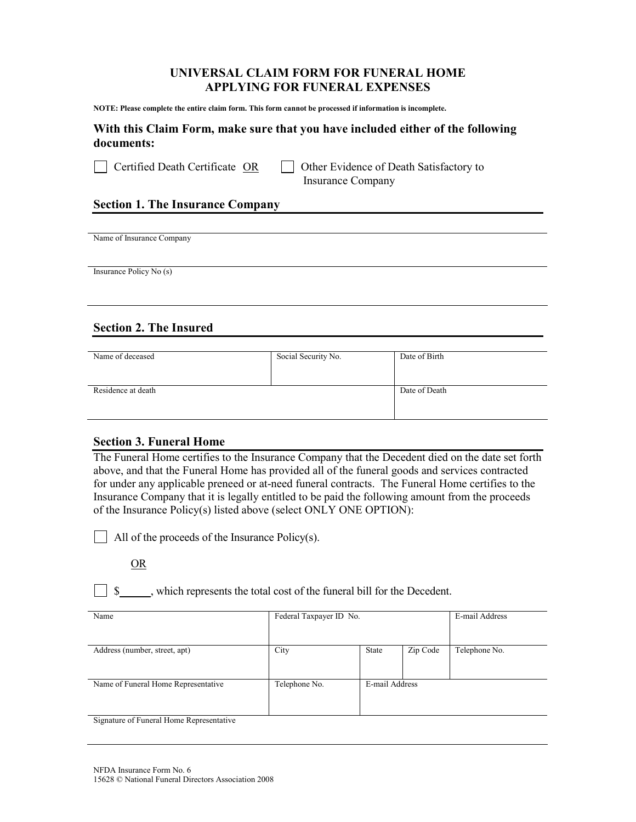## UNIVERSAL CLAIM FORM FOR FUNERAL HOME APPLYING FOR FUNERAL EXPENSES

NOTE: Please complete the entire claim form. This form cannot be processed if information is incomplete.

## With this Claim Form, make sure that you have included either of the following documents:

 $\vert$  Certified Death Certificate OR  $\vert$  Other Evidence of Death Satisfactory to Insurance Company

## Section 1. The Insurance Company

Name of Insurance Company

 Insurance Policy No (s)

# Section 2. The Insured

| Name of deceased   | Social Security No. | Date of Birth |
|--------------------|---------------------|---------------|
| Residence at death |                     | Date of Death |

## Section 3. Funeral Home

The Funeral Home certifies to the Insurance Company that the Decedent died on the date set forth above, and that the Funeral Home has provided all of the funeral goods and services contracted for under any applicable preneed or at-need funeral contracts. The Funeral Home certifies to the Insurance Company that it is legally entitled to be paid the following amount from the proceeds of the Insurance Policy(s) listed above (select ONLY ONE OPTION):

All of the proceeds of the Insurance Policy $(s)$ .

## OR

 $\boxed{\ }$  \$ , which represents the total cost of the funeral bill for the Decedent.

| Name                                     | Federal Taxpayer ID No. |                |          | E-mail Address |
|------------------------------------------|-------------------------|----------------|----------|----------------|
| Address (number, street, apt)            | City                    | State          | Zip Code | Telephone No.  |
| Name of Funeral Home Representative      | Telephone No.           | E-mail Address |          |                |
| Signature of Funeral Home Representative |                         |                |          |                |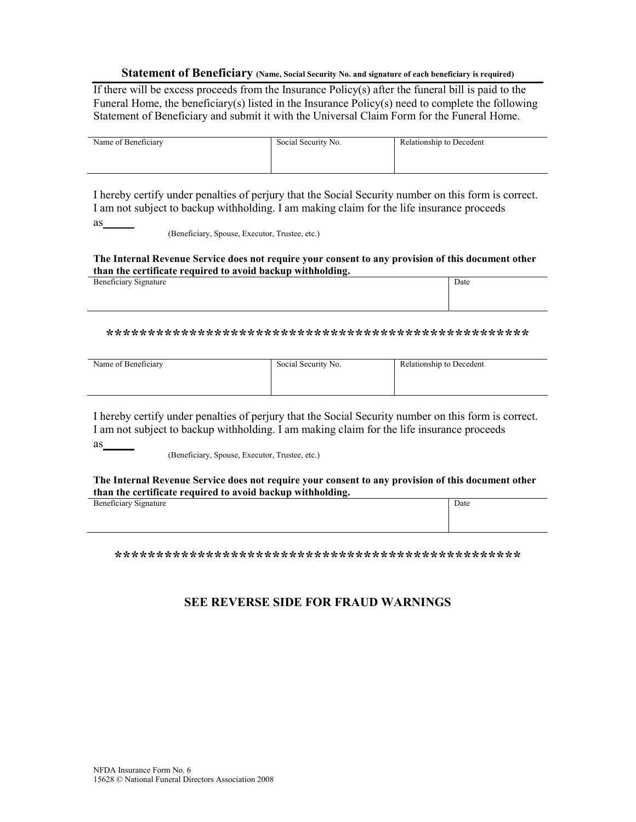### Statement of Beneficiary (Name, Social Security No. and signature of each beneficiary is required)

If there will be excess proceeds from the Insurance  $Policy(s)$  after the funeral bill is paid to the Funeral Home, the beneficiary(s) listed in the Insurance Policy(s) need to complete the following Statement of Beneficiary and submit it with the Universal Claim Form for the Funeral Home.

| Name of Beneficiary | Social Security No. | Relationship to Decedent |
|---------------------|---------------------|--------------------------|
|                     |                     |                          |
|                     |                     |                          |

I hereby certify under penalties of perjury that the Social Security number on this form is correct. I am not subject to backup withholding. I am making claim for the life insurance proceeds as

(Beneficiary, Spouse, Executor, Trustee, etc.)

### The Internal Revenue Service does not require your consent to any provision of this document other than the certificate required to avoid backup withholding.

| Beneficiary Signature |  | Date |
|-----------------------|--|------|
|                       |  |      |
|                       |  |      |
|                       |  |      |

| Name of Beneficiary | Social Security No. | Relationship to Decedent |
|---------------------|---------------------|--------------------------|
|                     |                     |                          |
|                     |                     |                          |

I hereby certify under penalties of perjury that the Social Security number on this form is correct. I am not subject to backup withholding. I am making claim for the life insurance proceeds  $as$ 

(Beneficiary, Spouse, Executor, Trustee, etc.)

#### The Internal Revenue Service does not require your consent to any provision of this document other than the certificate required to avoid backup withholding.

| <b>Beneficiary Signature</b> |  | Date |  |
|------------------------------|--|------|--|
|                              |  |      |  |
|                              |  |      |  |
|                              |  |      |  |

# **SEE REVERSE SIDE FOR FRAUD WARNINGS**